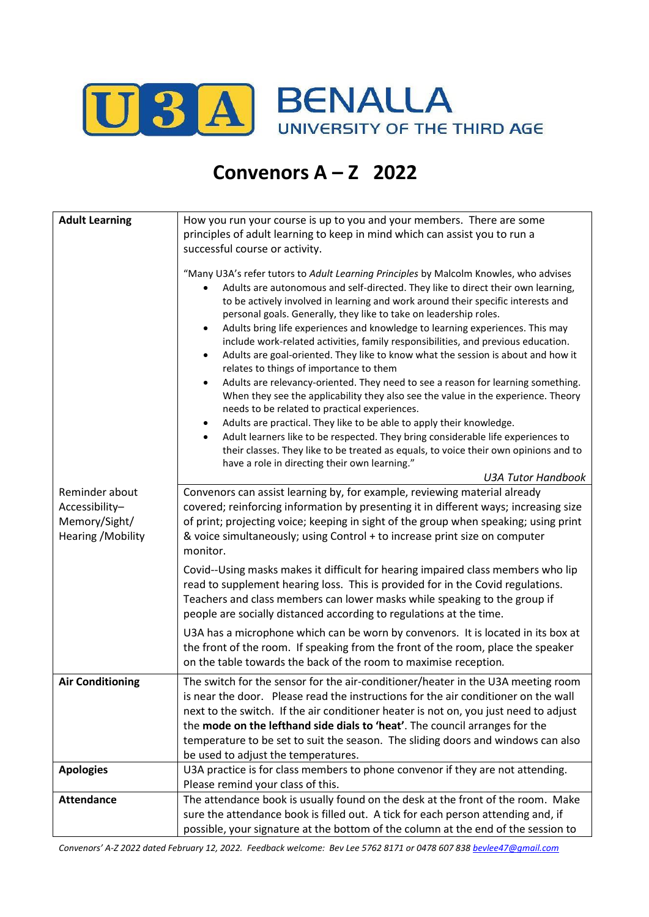

## **Convenors A – Z 2022**

| <b>Adult Learning</b>           | How you run your course is up to you and your members. There are some<br>principles of adult learning to keep in mind which can assist you to run a<br>successful course or activity.<br>"Many U3A's refer tutors to Adult Learning Principles by Malcolm Knowles, who advises<br>Adults are autonomous and self-directed. They like to direct their own learning,<br>to be actively involved in learning and work around their specific interests and<br>personal goals. Generally, they like to take on leadership roles.<br>Adults bring life experiences and knowledge to learning experiences. This may<br>include work-related activities, family responsibilities, and previous education.<br>Adults are goal-oriented. They like to know what the session is about and how it<br>$\bullet$<br>relates to things of importance to them<br>Adults are relevancy-oriented. They need to see a reason for learning something.<br>$\bullet$<br>When they see the applicability they also see the value in the experience. Theory<br>needs to be related to practical experiences.<br>Adults are practical. They like to be able to apply their knowledge.<br>$\bullet$<br>Adult learners like to be respected. They bring considerable life experiences to<br>$\bullet$<br>their classes. They like to be treated as equals, to voice their own opinions and to<br>have a role in directing their own learning."<br><b>U3A Tutor Handbook</b> |
|---------------------------------|--------------------------------------------------------------------------------------------------------------------------------------------------------------------------------------------------------------------------------------------------------------------------------------------------------------------------------------------------------------------------------------------------------------------------------------------------------------------------------------------------------------------------------------------------------------------------------------------------------------------------------------------------------------------------------------------------------------------------------------------------------------------------------------------------------------------------------------------------------------------------------------------------------------------------------------------------------------------------------------------------------------------------------------------------------------------------------------------------------------------------------------------------------------------------------------------------------------------------------------------------------------------------------------------------------------------------------------------------------------------------------------------------------------------------------------------------|
| Reminder about                  | Convenors can assist learning by, for example, reviewing material already                                                                                                                                                                                                                                                                                                                                                                                                                                                                                                                                                                                                                                                                                                                                                                                                                                                                                                                                                                                                                                                                                                                                                                                                                                                                                                                                                                        |
| Accessibility-<br>Memory/Sight/ | covered; reinforcing information by presenting it in different ways; increasing size<br>of print; projecting voice; keeping in sight of the group when speaking; using print                                                                                                                                                                                                                                                                                                                                                                                                                                                                                                                                                                                                                                                                                                                                                                                                                                                                                                                                                                                                                                                                                                                                                                                                                                                                     |
| Hearing / Mobility              | & voice simultaneously; using Control + to increase print size on computer                                                                                                                                                                                                                                                                                                                                                                                                                                                                                                                                                                                                                                                                                                                                                                                                                                                                                                                                                                                                                                                                                                                                                                                                                                                                                                                                                                       |
|                                 | monitor.                                                                                                                                                                                                                                                                                                                                                                                                                                                                                                                                                                                                                                                                                                                                                                                                                                                                                                                                                                                                                                                                                                                                                                                                                                                                                                                                                                                                                                         |
|                                 | Covid--Using masks makes it difficult for hearing impaired class members who lip                                                                                                                                                                                                                                                                                                                                                                                                                                                                                                                                                                                                                                                                                                                                                                                                                                                                                                                                                                                                                                                                                                                                                                                                                                                                                                                                                                 |
|                                 | read to supplement hearing loss. This is provided for in the Covid regulations.                                                                                                                                                                                                                                                                                                                                                                                                                                                                                                                                                                                                                                                                                                                                                                                                                                                                                                                                                                                                                                                                                                                                                                                                                                                                                                                                                                  |
|                                 | Teachers and class members can lower masks while speaking to the group if<br>people are socially distanced according to regulations at the time.                                                                                                                                                                                                                                                                                                                                                                                                                                                                                                                                                                                                                                                                                                                                                                                                                                                                                                                                                                                                                                                                                                                                                                                                                                                                                                 |
|                                 | U3A has a microphone which can be worn by convenors. It is located in its box at                                                                                                                                                                                                                                                                                                                                                                                                                                                                                                                                                                                                                                                                                                                                                                                                                                                                                                                                                                                                                                                                                                                                                                                                                                                                                                                                                                 |
|                                 | the front of the room. If speaking from the front of the room, place the speaker                                                                                                                                                                                                                                                                                                                                                                                                                                                                                                                                                                                                                                                                                                                                                                                                                                                                                                                                                                                                                                                                                                                                                                                                                                                                                                                                                                 |
|                                 | on the table towards the back of the room to maximise reception.                                                                                                                                                                                                                                                                                                                                                                                                                                                                                                                                                                                                                                                                                                                                                                                                                                                                                                                                                                                                                                                                                                                                                                                                                                                                                                                                                                                 |
| <b>Air Conditioning</b>         | The switch for the sensor for the air-conditioner/heater in the U3A meeting room                                                                                                                                                                                                                                                                                                                                                                                                                                                                                                                                                                                                                                                                                                                                                                                                                                                                                                                                                                                                                                                                                                                                                                                                                                                                                                                                                                 |
|                                 | is near the door. Please read the instructions for the air conditioner on the wall                                                                                                                                                                                                                                                                                                                                                                                                                                                                                                                                                                                                                                                                                                                                                                                                                                                                                                                                                                                                                                                                                                                                                                                                                                                                                                                                                               |
|                                 | next to the switch. If the air conditioner heater is not on, you just need to adjust<br>the mode on the lefthand side dials to 'heat'. The council arranges for the                                                                                                                                                                                                                                                                                                                                                                                                                                                                                                                                                                                                                                                                                                                                                                                                                                                                                                                                                                                                                                                                                                                                                                                                                                                                              |
|                                 | temperature to be set to suit the season. The sliding doors and windows can also                                                                                                                                                                                                                                                                                                                                                                                                                                                                                                                                                                                                                                                                                                                                                                                                                                                                                                                                                                                                                                                                                                                                                                                                                                                                                                                                                                 |
|                                 | be used to adjust the temperatures.                                                                                                                                                                                                                                                                                                                                                                                                                                                                                                                                                                                                                                                                                                                                                                                                                                                                                                                                                                                                                                                                                                                                                                                                                                                                                                                                                                                                              |
| <b>Apologies</b>                | U3A practice is for class members to phone convenor if they are not attending.                                                                                                                                                                                                                                                                                                                                                                                                                                                                                                                                                                                                                                                                                                                                                                                                                                                                                                                                                                                                                                                                                                                                                                                                                                                                                                                                                                   |
|                                 | Please remind your class of this.                                                                                                                                                                                                                                                                                                                                                                                                                                                                                                                                                                                                                                                                                                                                                                                                                                                                                                                                                                                                                                                                                                                                                                                                                                                                                                                                                                                                                |
| <b>Attendance</b>               | The attendance book is usually found on the desk at the front of the room. Make<br>sure the attendance book is filled out. A tick for each person attending and, if                                                                                                                                                                                                                                                                                                                                                                                                                                                                                                                                                                                                                                                                                                                                                                                                                                                                                                                                                                                                                                                                                                                                                                                                                                                                              |
|                                 | possible, your signature at the bottom of the column at the end of the session to                                                                                                                                                                                                                                                                                                                                                                                                                                                                                                                                                                                                                                                                                                                                                                                                                                                                                                                                                                                                                                                                                                                                                                                                                                                                                                                                                                |
|                                 |                                                                                                                                                                                                                                                                                                                                                                                                                                                                                                                                                                                                                                                                                                                                                                                                                                                                                                                                                                                                                                                                                                                                                                                                                                                                                                                                                                                                                                                  |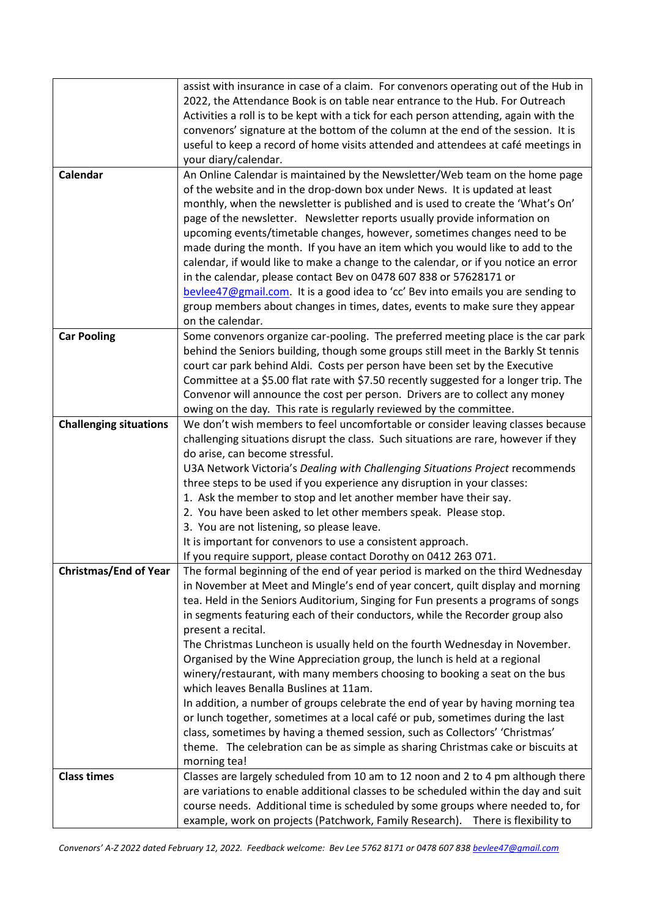|                               | assist with insurance in case of a claim. For convenors operating out of the Hub in   |
|-------------------------------|---------------------------------------------------------------------------------------|
|                               | 2022, the Attendance Book is on table near entrance to the Hub. For Outreach          |
|                               | Activities a roll is to be kept with a tick for each person attending, again with the |
|                               | convenors' signature at the bottom of the column at the end of the session. It is     |
|                               | useful to keep a record of home visits attended and attendees at café meetings in     |
|                               | your diary/calendar.                                                                  |
| Calendar                      | An Online Calendar is maintained by the Newsletter/Web team on the home page          |
|                               | of the website and in the drop-down box under News. It is updated at least            |
|                               | monthly, when the newsletter is published and is used to create the 'What's On'       |
|                               | page of the newsletter. Newsletter reports usually provide information on             |
|                               | upcoming events/timetable changes, however, sometimes changes need to be              |
|                               | made during the month. If you have an item which you would like to add to the         |
|                               | calendar, if would like to make a change to the calendar, or if you notice an error   |
|                               | in the calendar, please contact Bev on 0478 607 838 or 57628171 or                    |
|                               | bevlee47@gmail.com. It is a good idea to 'cc' Bev into emails you are sending to      |
|                               | group members about changes in times, dates, events to make sure they appear          |
|                               | on the calendar.                                                                      |
| <b>Car Pooling</b>            | Some convenors organize car-pooling. The preferred meeting place is the car park      |
|                               | behind the Seniors building, though some groups still meet in the Barkly St tennis    |
|                               | court car park behind Aldi. Costs per person have been set by the Executive           |
|                               | Committee at a \$5.00 flat rate with \$7.50 recently suggested for a longer trip. The |
|                               | Convenor will announce the cost per person. Drivers are to collect any money          |
|                               | owing on the day. This rate is regularly reviewed by the committee.                   |
| <b>Challenging situations</b> | We don't wish members to feel uncomfortable or consider leaving classes because       |
|                               | challenging situations disrupt the class. Such situations are rare, however if they   |
|                               | do arise, can become stressful.                                                       |
|                               | U3A Network Victoria's Dealing with Challenging Situations Project recommends         |
|                               | three steps to be used if you experience any disruption in your classes:              |
|                               | 1. Ask the member to stop and let another member have their say.                      |
|                               | 2. You have been asked to let other members speak. Please stop.                       |
|                               | 3. You are not listening, so please leave.                                            |
|                               | It is important for convenors to use a consistent approach.                           |
|                               | If you require support, please contact Dorothy on 0412 263 071.                       |
| <b>Christmas/End of Year</b>  | The formal beginning of the end of year period is marked on the third Wednesday       |
|                               | in November at Meet and Mingle's end of year concert, quilt display and morning       |
|                               | tea. Held in the Seniors Auditorium, Singing for Fun presents a programs of songs     |
|                               | in segments featuring each of their conductors, while the Recorder group also         |
|                               | present a recital.                                                                    |
|                               | The Christmas Luncheon is usually held on the fourth Wednesday in November.           |
|                               | Organised by the Wine Appreciation group, the lunch is held at a regional             |
|                               | winery/restaurant, with many members choosing to booking a seat on the bus            |
|                               | which leaves Benalla Buslines at 11am.                                                |
|                               | In addition, a number of groups celebrate the end of year by having morning tea       |
|                               | or lunch together, sometimes at a local café or pub, sometimes during the last        |
|                               | class, sometimes by having a themed session, such as Collectors' 'Christmas'          |
|                               | theme. The celebration can be as simple as sharing Christmas cake or biscuits at      |
|                               | morning tea!                                                                          |
| <b>Class times</b>            | Classes are largely scheduled from 10 am to 12 noon and 2 to 4 pm although there      |
|                               | are variations to enable additional classes to be scheduled within the day and suit   |
|                               | course needs. Additional time is scheduled by some groups where needed to, for        |
|                               | example, work on projects (Patchwork, Family Research). There is flexibility to       |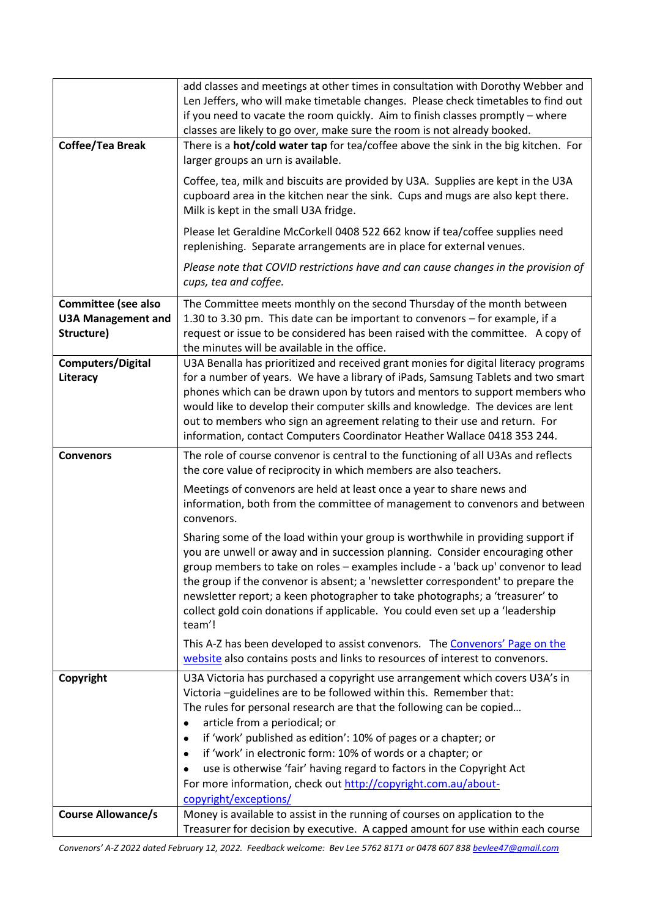|                                                                       | add classes and meetings at other times in consultation with Dorothy Webber and<br>Len Jeffers, who will make timetable changes. Please check timetables to find out<br>if you need to vacate the room quickly. Aim to finish classes promptly - where<br>classes are likely to go over, make sure the room is not already booked.                                                                                                                                                                                    |
|-----------------------------------------------------------------------|-----------------------------------------------------------------------------------------------------------------------------------------------------------------------------------------------------------------------------------------------------------------------------------------------------------------------------------------------------------------------------------------------------------------------------------------------------------------------------------------------------------------------|
| Coffee/Tea Break                                                      | There is a <b>hot/cold water tap</b> for tea/coffee above the sink in the big kitchen. For<br>larger groups an urn is available.                                                                                                                                                                                                                                                                                                                                                                                      |
|                                                                       | Coffee, tea, milk and biscuits are provided by U3A. Supplies are kept in the U3A<br>cupboard area in the kitchen near the sink. Cups and mugs are also kept there.<br>Milk is kept in the small U3A fridge.                                                                                                                                                                                                                                                                                                           |
|                                                                       | Please let Geraldine McCorkell 0408 522 662 know if tea/coffee supplies need<br>replenishing. Separate arrangements are in place for external venues.                                                                                                                                                                                                                                                                                                                                                                 |
|                                                                       | Please note that COVID restrictions have and can cause changes in the provision of<br>cups, tea and coffee.                                                                                                                                                                                                                                                                                                                                                                                                           |
| <b>Committee (see also</b><br><b>U3A Management and</b><br>Structure) | The Committee meets monthly on the second Thursday of the month between<br>1.30 to 3.30 pm. This date can be important to convenors - for example, if a<br>request or issue to be considered has been raised with the committee. A copy of<br>the minutes will be available in the office.                                                                                                                                                                                                                            |
| <b>Computers/Digital</b><br>Literacy                                  | U3A Benalla has prioritized and received grant monies for digital literacy programs<br>for a number of years. We have a library of iPads, Samsung Tablets and two smart<br>phones which can be drawn upon by tutors and mentors to support members who<br>would like to develop their computer skills and knowledge. The devices are lent<br>out to members who sign an agreement relating to their use and return. For<br>information, contact Computers Coordinator Heather Wallace 0418 353 244.                   |
| <b>Convenors</b>                                                      | The role of course convenor is central to the functioning of all U3As and reflects<br>the core value of reciprocity in which members are also teachers.                                                                                                                                                                                                                                                                                                                                                               |
|                                                                       | Meetings of convenors are held at least once a year to share news and<br>information, both from the committee of management to convenors and between<br>convenors.                                                                                                                                                                                                                                                                                                                                                    |
|                                                                       | Sharing some of the load within your group is worthwhile in providing support if<br>you are unwell or away and in succession planning. Consider encouraging other<br>group members to take on roles - examples include - a 'back up' convenor to lead<br>the group if the convenor is absent; a 'newsletter correspondent' to prepare the<br>newsletter report; a keen photographer to take photographs; a 'treasurer' to<br>collect gold coin donations if applicable. You could even set up a 'leadership<br>team'! |
|                                                                       | This A-Z has been developed to assist convenors. The Convenors' Page on the<br>website also contains posts and links to resources of interest to convenors.                                                                                                                                                                                                                                                                                                                                                           |
| Copyright                                                             | U3A Victoria has purchased a copyright use arrangement which covers U3A's in<br>Victoria-guidelines are to be followed within this. Remember that:<br>The rules for personal research are that the following can be copied<br>article from a periodical; or<br>$\bullet$<br>if 'work' published as edition': 10% of pages or a chapter; or<br>$\bullet$                                                                                                                                                               |
|                                                                       | if 'work' in electronic form: 10% of words or a chapter; or                                                                                                                                                                                                                                                                                                                                                                                                                                                           |
|                                                                       | use is otherwise 'fair' having regard to factors in the Copyright Act<br>For more information, check out http://copyright.com.au/about-                                                                                                                                                                                                                                                                                                                                                                               |
| <b>Course Allowance/s</b>                                             | copyright/exceptions/<br>Money is available to assist in the running of courses on application to the                                                                                                                                                                                                                                                                                                                                                                                                                 |
|                                                                       | Treasurer for decision by executive. A capped amount for use within each course                                                                                                                                                                                                                                                                                                                                                                                                                                       |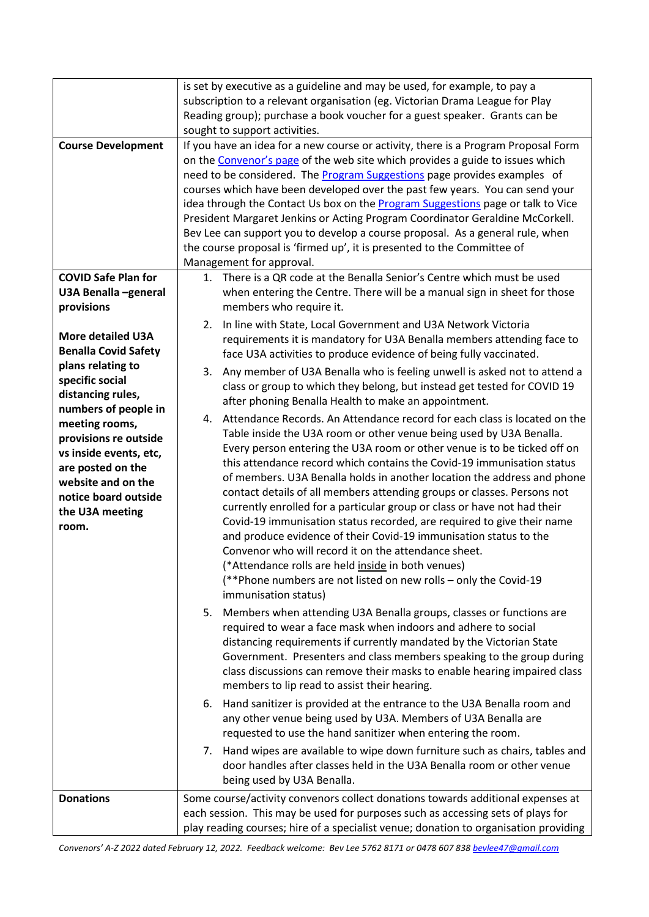|                                                                                                                                                                  | is set by executive as a guideline and may be used, for example, to pay a<br>subscription to a relevant organisation (eg. Victorian Drama League for Play                                                                                                                                                                                                                                                                                                                                                                                                                                                                                                                                                                                                                                                                                                                                               |
|------------------------------------------------------------------------------------------------------------------------------------------------------------------|---------------------------------------------------------------------------------------------------------------------------------------------------------------------------------------------------------------------------------------------------------------------------------------------------------------------------------------------------------------------------------------------------------------------------------------------------------------------------------------------------------------------------------------------------------------------------------------------------------------------------------------------------------------------------------------------------------------------------------------------------------------------------------------------------------------------------------------------------------------------------------------------------------|
|                                                                                                                                                                  | Reading group); purchase a book voucher for a guest speaker. Grants can be<br>sought to support activities.                                                                                                                                                                                                                                                                                                                                                                                                                                                                                                                                                                                                                                                                                                                                                                                             |
| <b>Course Development</b>                                                                                                                                        | If you have an idea for a new course or activity, there is a Program Proposal Form<br>on the Convenor's page of the web site which provides a guide to issues which<br>need to be considered. The <b>Program Suggestions</b> page provides examples of<br>courses which have been developed over the past few years. You can send your<br>idea through the Contact Us box on the <b>Program Suggestions</b> page or talk to Vice<br>President Margaret Jenkins or Acting Program Coordinator Geraldine McCorkell.<br>Bev Lee can support you to develop a course proposal. As a general rule, when<br>the course proposal is 'firmed up', it is presented to the Committee of<br>Management for approval.                                                                                                                                                                                               |
| <b>COVID Safe Plan for</b><br>U3A Benalla -general<br>provisions                                                                                                 | 1. There is a QR code at the Benalla Senior's Centre which must be used<br>when entering the Centre. There will be a manual sign in sheet for those<br>members who require it.                                                                                                                                                                                                                                                                                                                                                                                                                                                                                                                                                                                                                                                                                                                          |
| <b>More detailed U3A</b><br><b>Benalla Covid Safety</b><br>plans relating to                                                                                     | In line with State, Local Government and U3A Network Victoria<br>2.<br>requirements it is mandatory for U3A Benalla members attending face to<br>face U3A activities to produce evidence of being fully vaccinated.<br>Any member of U3A Benalla who is feeling unwell is asked not to attend a<br>3.                                                                                                                                                                                                                                                                                                                                                                                                                                                                                                                                                                                                   |
| specific social<br>distancing rules,<br>numbers of people in                                                                                                     | class or group to which they belong, but instead get tested for COVID 19<br>after phoning Benalla Health to make an appointment.                                                                                                                                                                                                                                                                                                                                                                                                                                                                                                                                                                                                                                                                                                                                                                        |
| meeting rooms,<br>provisions re outside<br>vs inside events, etc,<br>are posted on the<br>website and on the<br>notice board outside<br>the U3A meeting<br>room. | Attendance Records. An Attendance record for each class is located on the<br>4.<br>Table inside the U3A room or other venue being used by U3A Benalla.<br>Every person entering the U3A room or other venue is to be ticked off on<br>this attendance record which contains the Covid-19 immunisation status<br>of members. U3A Benalla holds in another location the address and phone<br>contact details of all members attending groups or classes. Persons not<br>currently enrolled for a particular group or class or have not had their<br>Covid-19 immunisation status recorded, are required to give their name<br>and produce evidence of their Covid-19 immunisation status to the<br>Convenor who will record it on the attendance sheet.<br>(*Attendance rolls are held inside in both venues)<br>(**Phone numbers are not listed on new rolls - only the Covid-19<br>immunisation status) |
|                                                                                                                                                                  | Members when attending U3A Benalla groups, classes or functions are<br>5.<br>required to wear a face mask when indoors and adhere to social<br>distancing requirements if currently mandated by the Victorian State<br>Government. Presenters and class members speaking to the group during<br>class discussions can remove their masks to enable hearing impaired class<br>members to lip read to assist their hearing.                                                                                                                                                                                                                                                                                                                                                                                                                                                                               |
|                                                                                                                                                                  | Hand sanitizer is provided at the entrance to the U3A Benalla room and<br>6.<br>any other venue being used by U3A. Members of U3A Benalla are<br>requested to use the hand sanitizer when entering the room.                                                                                                                                                                                                                                                                                                                                                                                                                                                                                                                                                                                                                                                                                            |
|                                                                                                                                                                  | 7. Hand wipes are available to wipe down furniture such as chairs, tables and<br>door handles after classes held in the U3A Benalla room or other venue<br>being used by U3A Benalla.                                                                                                                                                                                                                                                                                                                                                                                                                                                                                                                                                                                                                                                                                                                   |
| <b>Donations</b>                                                                                                                                                 | Some course/activity convenors collect donations towards additional expenses at<br>each session. This may be used for purposes such as accessing sets of plays for<br>play reading courses; hire of a specialist venue; donation to organisation providing                                                                                                                                                                                                                                                                                                                                                                                                                                                                                                                                                                                                                                              |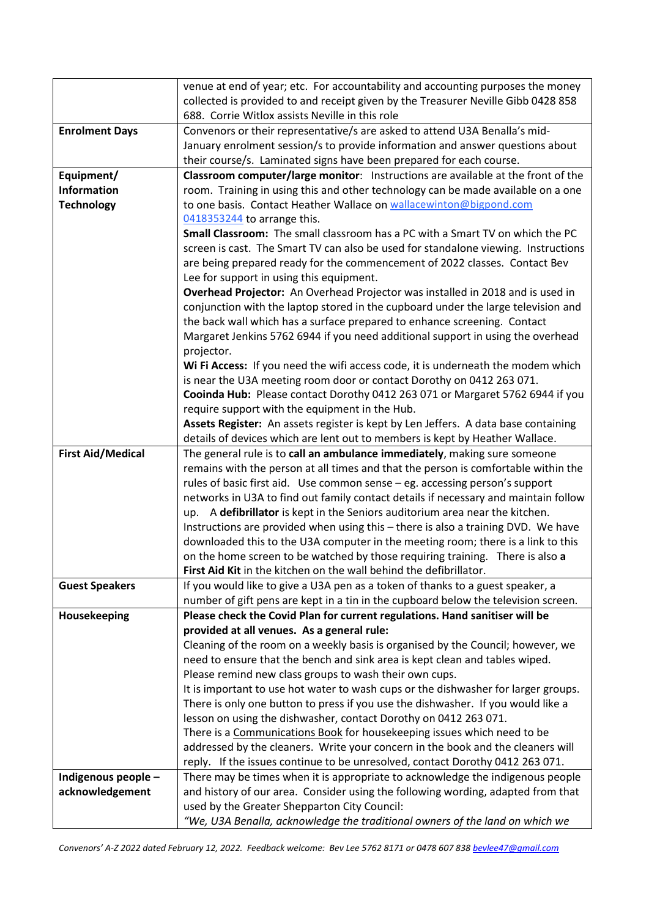|                          | venue at end of year; etc. For accountability and accounting purposes the money     |
|--------------------------|-------------------------------------------------------------------------------------|
|                          | collected is provided to and receipt given by the Treasurer Neville Gibb 0428 858   |
|                          | 688. Corrie Witlox assists Neville in this role                                     |
| <b>Enrolment Days</b>    | Convenors or their representative/s are asked to attend U3A Benalla's mid-          |
|                          | January enrolment session/s to provide information and answer questions about       |
|                          | their course/s. Laminated signs have been prepared for each course.                 |
| Equipment/               | Classroom computer/large monitor: Instructions are available at the front of the    |
| Information              | room. Training in using this and other technology can be made available on a one    |
| <b>Technology</b>        | to one basis. Contact Heather Wallace on wallacewinton@bigpond.com                  |
|                          | 0418353244 to arrange this.                                                         |
|                          | Small Classroom: The small classroom has a PC with a Smart TV on which the PC       |
|                          | screen is cast. The Smart TV can also be used for standalone viewing. Instructions  |
|                          | are being prepared ready for the commencement of 2022 classes. Contact Bev          |
|                          | Lee for support in using this equipment.                                            |
|                          | Overhead Projector: An Overhead Projector was installed in 2018 and is used in      |
|                          | conjunction with the laptop stored in the cupboard under the large television and   |
|                          | the back wall which has a surface prepared to enhance screening. Contact            |
|                          | Margaret Jenkins 5762 6944 if you need additional support in using the overhead     |
|                          | projector.                                                                          |
|                          | Wi Fi Access: If you need the wifi access code, it is underneath the modem which    |
|                          | is near the U3A meeting room door or contact Dorothy on 0412 263 071.               |
|                          | Cooinda Hub: Please contact Dorothy 0412 263 071 or Margaret 5762 6944 if you       |
|                          | require support with the equipment in the Hub.                                      |
|                          | Assets Register: An assets register is kept by Len Jeffers. A data base containing  |
|                          | details of devices which are lent out to members is kept by Heather Wallace.        |
| <b>First Aid/Medical</b> | The general rule is to call an ambulance immediately, making sure someone           |
|                          | remains with the person at all times and that the person is comfortable within the  |
|                          | rules of basic first aid. Use common sense - eg. accessing person's support         |
|                          | networks in U3A to find out family contact details if necessary and maintain follow |
|                          | up. A defibrillator is kept in the Seniors auditorium area near the kitchen.        |
|                          | Instructions are provided when using this - there is also a training DVD. We have   |
|                          | downloaded this to the U3A computer in the meeting room; there is a link to this    |
|                          | on the home screen to be watched by those requiring training. There is also a       |
|                          | First Aid Kit in the kitchen on the wall behind the defibrillator.                  |
| <b>Guest Speakers</b>    | If you would like to give a U3A pen as a token of thanks to a guest speaker, a      |
|                          | number of gift pens are kept in a tin in the cupboard below the television screen.  |
| Housekeeping             | Please check the Covid Plan for current regulations. Hand sanitiser will be         |
|                          | provided at all venues. As a general rule:                                          |
|                          | Cleaning of the room on a weekly basis is organised by the Council; however, we     |
|                          | need to ensure that the bench and sink area is kept clean and tables wiped.         |
|                          | Please remind new class groups to wash their own cups.                              |
|                          | It is important to use hot water to wash cups or the dishwasher for larger groups.  |
|                          | There is only one button to press if you use the dishwasher. If you would like a    |
|                          | lesson on using the dishwasher, contact Dorothy on 0412 263 071.                    |
|                          | There is a Communications Book for housekeeping issues which need to be             |
|                          | addressed by the cleaners. Write your concern in the book and the cleaners will     |
|                          | reply. If the issues continue to be unresolved, contact Dorothy 0412 263 071.       |
| Indigenous people -      | There may be times when it is appropriate to acknowledge the indigenous people      |
| acknowledgement          | and history of our area. Consider using the following wording, adapted from that    |
|                          | used by the Greater Shepparton City Council:                                        |
|                          | "We, U3A Benalla, acknowledge the traditional owners of the land on which we        |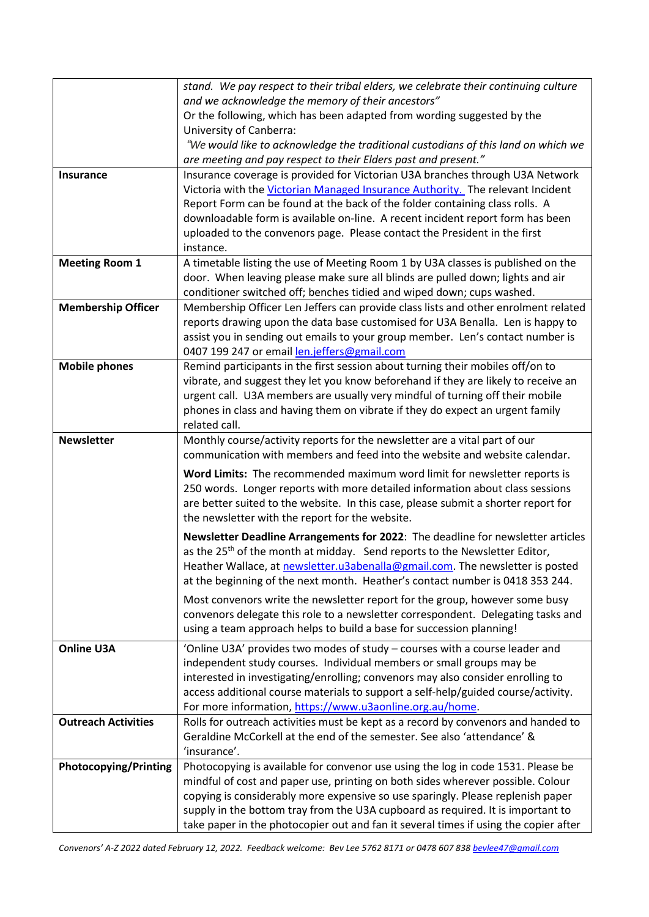|                              | stand. We pay respect to their tribal elders, we celebrate their continuing culture                                                                                  |
|------------------------------|----------------------------------------------------------------------------------------------------------------------------------------------------------------------|
|                              | and we acknowledge the memory of their ancestors"                                                                                                                    |
|                              | Or the following, which has been adapted from wording suggested by the                                                                                               |
|                              | University of Canberra:<br>"We would like to acknowledge the traditional custodians of this land on which we                                                         |
|                              | are meeting and pay respect to their Elders past and present."                                                                                                       |
| Insurance                    | Insurance coverage is provided for Victorian U3A branches through U3A Network                                                                                        |
|                              | Victoria with the Victorian Managed Insurance Authority. The relevant Incident                                                                                       |
|                              | Report Form can be found at the back of the folder containing class rolls. A                                                                                         |
|                              | downloadable form is available on-line. A recent incident report form has been                                                                                       |
|                              | uploaded to the convenors page. Please contact the President in the first                                                                                            |
|                              | instance.                                                                                                                                                            |
| <b>Meeting Room 1</b>        | A timetable listing the use of Meeting Room 1 by U3A classes is published on the                                                                                     |
|                              | door. When leaving please make sure all blinds are pulled down; lights and air                                                                                       |
|                              | conditioner switched off; benches tidied and wiped down; cups washed.                                                                                                |
| <b>Membership Officer</b>    | Membership Officer Len Jeffers can provide class lists and other enrolment related                                                                                   |
|                              | reports drawing upon the data base customised for U3A Benalla. Len is happy to                                                                                       |
|                              | assist you in sending out emails to your group member. Len's contact number is<br>0407 199 247 or email len.jeffers@gmail.com                                        |
| <b>Mobile phones</b>         | Remind participants in the first session about turning their mobiles off/on to                                                                                       |
|                              | vibrate, and suggest they let you know beforehand if they are likely to receive an                                                                                   |
|                              | urgent call. U3A members are usually very mindful of turning off their mobile                                                                                        |
|                              | phones in class and having them on vibrate if they do expect an urgent family                                                                                        |
|                              | related call.                                                                                                                                                        |
| <b>Newsletter</b>            | Monthly course/activity reports for the newsletter are a vital part of our                                                                                           |
|                              | communication with members and feed into the website and website calendar.                                                                                           |
|                              | Word Limits: The recommended maximum word limit for newsletter reports is                                                                                            |
|                              | 250 words. Longer reports with more detailed information about class sessions                                                                                        |
|                              | are better suited to the website. In this case, please submit a shorter report for                                                                                   |
|                              | the newsletter with the report for the website.                                                                                                                      |
|                              | Newsletter Deadline Arrangements for 2022: The deadline for newsletter articles                                                                                      |
|                              | as the 25 <sup>th</sup> of the month at midday. Send reports to the Newsletter Editor,                                                                               |
|                              | Heather Wallace, at newsletter.u3abenalla@gmail.com. The newsletter is posted                                                                                        |
|                              | at the beginning of the next month. Heather's contact number is 0418 353 244.                                                                                        |
|                              | Most convenors write the newsletter report for the group, however some busy                                                                                          |
|                              | convenors delegate this role to a newsletter correspondent. Delegating tasks and                                                                                     |
|                              | using a team approach helps to build a base for succession planning!                                                                                                 |
| <b>Online U3A</b>            | 'Online U3A' provides two modes of study - courses with a course leader and                                                                                          |
|                              | independent study courses. Individual members or small groups may be                                                                                                 |
|                              | interested in investigating/enrolling; convenors may also consider enrolling to<br>access additional course materials to support a self-help/guided course/activity. |
|                              | For more information, https://www.u3aonline.org.au/home.                                                                                                             |
| <b>Outreach Activities</b>   | Rolls for outreach activities must be kept as a record by convenors and handed to                                                                                    |
|                              | Geraldine McCorkell at the end of the semester. See also 'attendance' &                                                                                              |
|                              | 'insurance'.                                                                                                                                                         |
| <b>Photocopying/Printing</b> | Photocopying is available for convenor use using the log in code 1531. Please be                                                                                     |
|                              | mindful of cost and paper use, printing on both sides wherever possible. Colour                                                                                      |
|                              | copying is considerably more expensive so use sparingly. Please replenish paper                                                                                      |
|                              | supply in the bottom tray from the U3A cupboard as required. It is important to                                                                                      |
|                              | take paper in the photocopier out and fan it several times if using the copier after                                                                                 |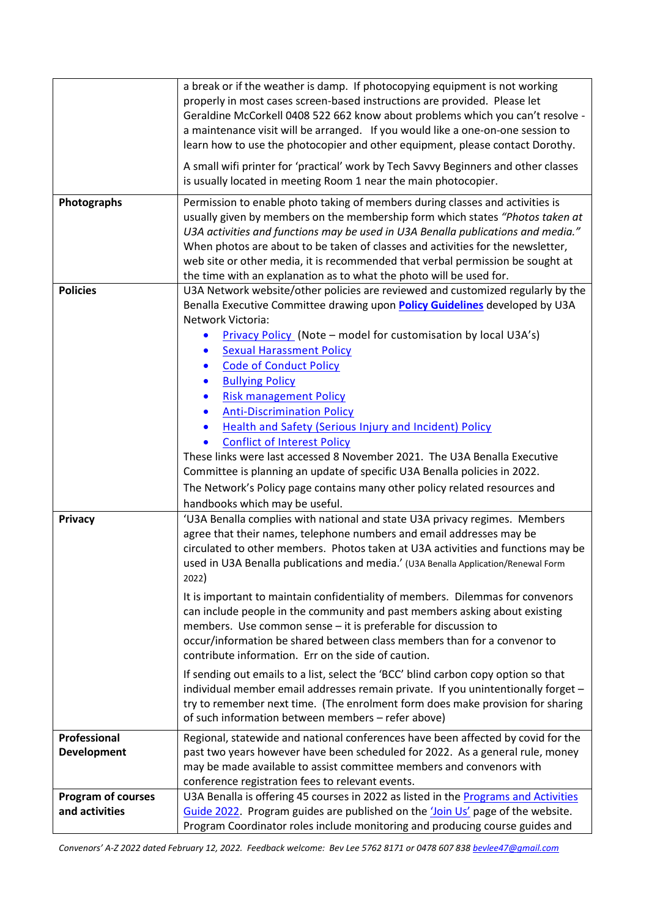|                           | a break or if the weather is damp. If photocopying equipment is not working                                                                                         |
|---------------------------|---------------------------------------------------------------------------------------------------------------------------------------------------------------------|
|                           | properly in most cases screen-based instructions are provided. Please let<br>Geraldine McCorkell 0408 522 662 know about problems which you can't resolve -         |
|                           | a maintenance visit will be arranged. If you would like a one-on-one session to                                                                                     |
|                           | learn how to use the photocopier and other equipment, please contact Dorothy.                                                                                       |
|                           | A small wifi printer for 'practical' work by Tech Savvy Beginners and other classes                                                                                 |
|                           | is usually located in meeting Room 1 near the main photocopier.                                                                                                     |
| Photographs               | Permission to enable photo taking of members during classes and activities is                                                                                       |
|                           | usually given by members on the membership form which states "Photos taken at                                                                                       |
|                           | U3A activities and functions may be used in U3A Benalla publications and media."<br>When photos are about to be taken of classes and activities for the newsletter, |
|                           | web site or other media, it is recommended that verbal permission be sought at                                                                                      |
|                           | the time with an explanation as to what the photo will be used for.                                                                                                 |
| <b>Policies</b>           | U3A Network website/other policies are reviewed and customized regularly by the                                                                                     |
|                           | Benalla Executive Committee drawing upon <b>Policy Guidelines</b> developed by U3A                                                                                  |
|                           | Network Victoria:                                                                                                                                                   |
|                           | <b>Privacy Policy</b> (Note – model for customisation by local U3A's)<br>$\bullet$                                                                                  |
|                           | <b>Sexual Harassment Policy</b><br>$\bullet$                                                                                                                        |
|                           | <b>Code of Conduct Policy</b><br>$\bullet$                                                                                                                          |
|                           | <b>Bullying Policy</b><br>$\bullet$                                                                                                                                 |
|                           | <b>Risk management Policy</b><br>$\bullet$                                                                                                                          |
|                           | <b>Anti-Discrimination Policy</b><br>$\bullet$                                                                                                                      |
|                           | <b>Health and Safety (Serious Injury and Incident) Policy</b><br>$\bullet$<br><b>Conflict of Interest Policy</b><br>$\bullet$                                       |
|                           | These links were last accessed 8 November 2021. The U3A Benalla Executive                                                                                           |
|                           | Committee is planning an update of specific U3A Benalla policies in 2022.                                                                                           |
|                           | The Network's Policy page contains many other policy related resources and                                                                                          |
|                           | handbooks which may be useful.                                                                                                                                      |
| Privacy                   | 'U3A Benalla complies with national and state U3A privacy regimes. Members                                                                                          |
|                           | agree that their names, telephone numbers and email addresses may be                                                                                                |
|                           | circulated to other members. Photos taken at U3A activities and functions may be                                                                                    |
|                           | used in U3A Benalla publications and media.' (U3A Benalla Application/Renewal Form                                                                                  |
|                           | 2022)                                                                                                                                                               |
|                           | It is important to maintain confidentiality of members. Dilemmas for convenors                                                                                      |
|                           | can include people in the community and past members asking about existing                                                                                          |
|                           | members. Use common sense - it is preferable for discussion to<br>occur/information be shared between class members than for a convenor to                          |
|                           | contribute information. Err on the side of caution.                                                                                                                 |
|                           | If sending out emails to a list, select the 'BCC' blind carbon copy option so that                                                                                  |
|                           | individual member email addresses remain private. If you unintentionally forget -                                                                                   |
|                           | try to remember next time. (The enrolment form does make provision for sharing                                                                                      |
|                           | of such information between members - refer above)                                                                                                                  |
| Professional              | Regional, statewide and national conferences have been affected by covid for the                                                                                    |
| <b>Development</b>        | past two years however have been scheduled for 2022. As a general rule, money                                                                                       |
|                           | may be made available to assist committee members and convenors with                                                                                                |
|                           | conference registration fees to relevant events.                                                                                                                    |
| <b>Program of courses</b> | U3A Benalla is offering 45 courses in 2022 as listed in the Programs and Activities                                                                                 |
| and activities            | Guide 2022. Program guides are published on the 'Join Us' page of the website.<br>Program Coordinator roles include monitoring and producing course guides and      |
|                           |                                                                                                                                                                     |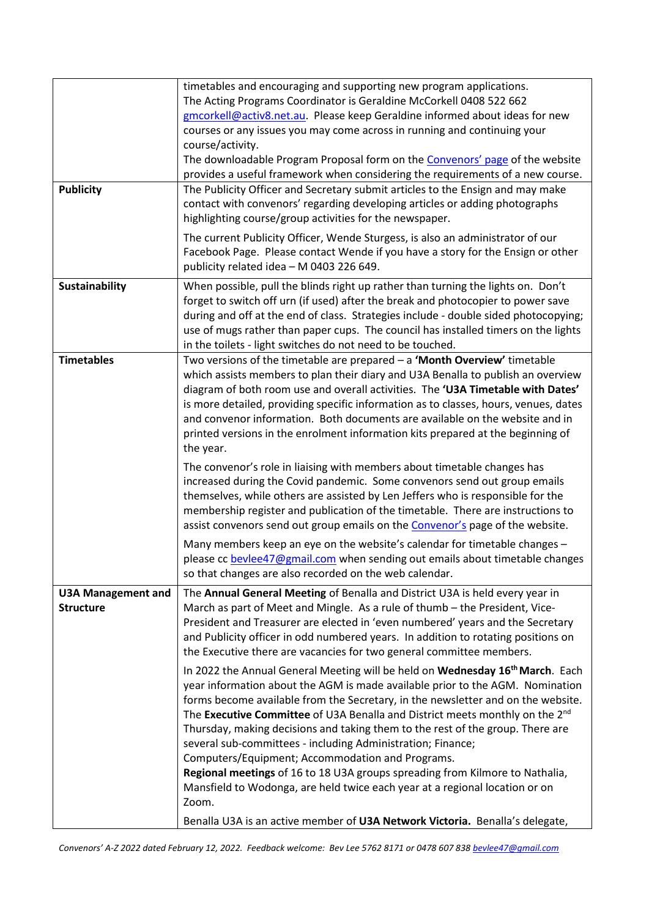| <b>Publicity</b>                              | timetables and encouraging and supporting new program applications.<br>The Acting Programs Coordinator is Geraldine McCorkell 0408 522 662<br>gmcorkell@activ8.net.au. Please keep Geraldine informed about ideas for new<br>courses or any issues you may come across in running and continuing your<br>course/activity.<br>The downloadable Program Proposal form on the Convenors' page of the website<br>provides a useful framework when considering the requirements of a new course.<br>The Publicity Officer and Secretary submit articles to the Ensign and may make<br>contact with convenors' regarding developing articles or adding photographs<br>highlighting course/group activities for the newspaper.<br>The current Publicity Officer, Wende Sturgess, is also an administrator of our<br>Facebook Page. Please contact Wende if you have a story for the Ensign or other<br>publicity related idea - M 0403 226 649. |
|-----------------------------------------------|------------------------------------------------------------------------------------------------------------------------------------------------------------------------------------------------------------------------------------------------------------------------------------------------------------------------------------------------------------------------------------------------------------------------------------------------------------------------------------------------------------------------------------------------------------------------------------------------------------------------------------------------------------------------------------------------------------------------------------------------------------------------------------------------------------------------------------------------------------------------------------------------------------------------------------------|
| Sustainability                                | When possible, pull the blinds right up rather than turning the lights on. Don't<br>forget to switch off urn (if used) after the break and photocopier to power save<br>during and off at the end of class. Strategies include - double sided photocopying;<br>use of mugs rather than paper cups. The council has installed timers on the lights<br>in the toilets - light switches do not need to be touched.                                                                                                                                                                                                                                                                                                                                                                                                                                                                                                                          |
| <b>Timetables</b>                             | Two versions of the timetable are prepared $-$ a 'Month Overview' timetable<br>which assists members to plan their diary and U3A Benalla to publish an overview<br>diagram of both room use and overall activities. The 'U3A Timetable with Dates'<br>is more detailed, providing specific information as to classes, hours, venues, dates<br>and convenor information. Both documents are available on the website and in<br>printed versions in the enrolment information kits prepared at the beginning of<br>the year.                                                                                                                                                                                                                                                                                                                                                                                                               |
|                                               | The convenor's role in liaising with members about timetable changes has<br>increased during the Covid pandemic. Some convenors send out group emails<br>themselves, while others are assisted by Len Jeffers who is responsible for the<br>membership register and publication of the timetable. There are instructions to<br>assist convenors send out group emails on the Convenor's page of the website.                                                                                                                                                                                                                                                                                                                                                                                                                                                                                                                             |
|                                               | Many members keep an eye on the website's calendar for timetable changes -<br>please cc bevlee47@gmail.com when sending out emails about timetable changes<br>so that changes are also recorded on the web calendar.                                                                                                                                                                                                                                                                                                                                                                                                                                                                                                                                                                                                                                                                                                                     |
| <b>U3A Management and</b><br><b>Structure</b> | The Annual General Meeting of Benalla and District U3A is held every year in<br>March as part of Meet and Mingle. As a rule of thumb - the President, Vice-<br>President and Treasurer are elected in 'even numbered' years and the Secretary<br>and Publicity officer in odd numbered years. In addition to rotating positions on<br>the Executive there are vacancies for two general committee members.<br>In 2022 the Annual General Meeting will be held on Wednesday 16 <sup>th</sup> March. Each<br>year information about the AGM is made available prior to the AGM. Nomination                                                                                                                                                                                                                                                                                                                                                 |
|                                               | forms become available from the Secretary, in the newsletter and on the website.<br>The Executive Committee of U3A Benalla and District meets monthly on the 2 <sup>nd</sup><br>Thursday, making decisions and taking them to the rest of the group. There are<br>several sub-committees - including Administration; Finance;<br>Computers/Equipment; Accommodation and Programs.<br>Regional meetings of 16 to 18 U3A groups spreading from Kilmore to Nathalia,<br>Mansfield to Wodonga, are held twice each year at a regional location or on<br>Zoom.<br>Benalla U3A is an active member of U3A Network Victoria. Benalla's delegate,                                                                                                                                                                                                                                                                                                |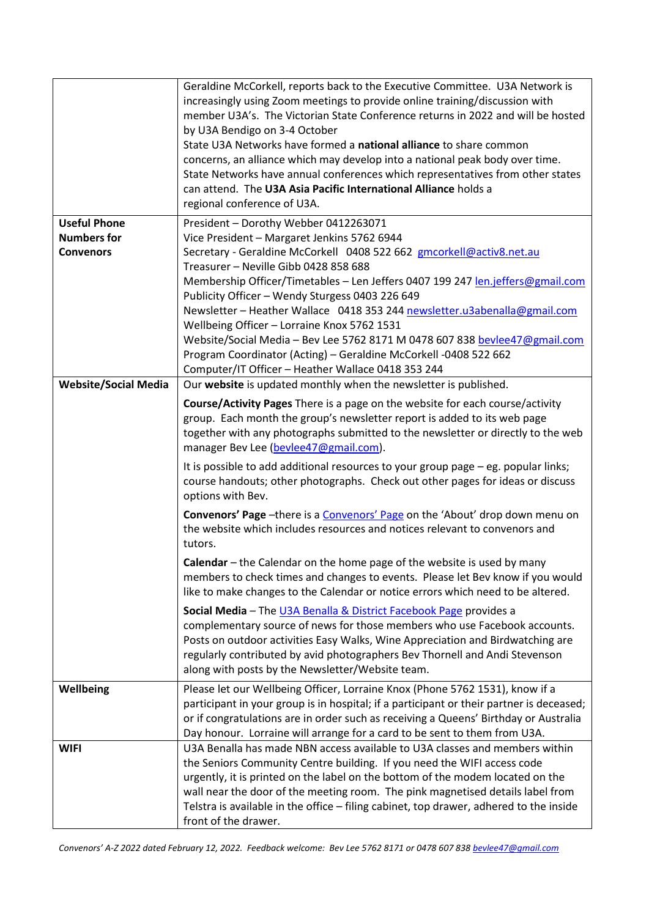|                                           | Geraldine McCorkell, reports back to the Executive Committee. U3A Network is<br>increasingly using Zoom meetings to provide online training/discussion with<br>member U3A's. The Victorian State Conference returns in 2022 and will be hosted<br>by U3A Bendigo on 3-4 October<br>State U3A Networks have formed a national alliance to share common<br>concerns, an alliance which may develop into a national peak body over time.<br>State Networks have annual conferences which representatives from other states<br>can attend. The U3A Asia Pacific International Alliance holds a<br>regional conference of U3A. |
|-------------------------------------------|---------------------------------------------------------------------------------------------------------------------------------------------------------------------------------------------------------------------------------------------------------------------------------------------------------------------------------------------------------------------------------------------------------------------------------------------------------------------------------------------------------------------------------------------------------------------------------------------------------------------------|
| <b>Useful Phone</b><br><b>Numbers for</b> | President - Dorothy Webber 0412263071<br>Vice President - Margaret Jenkins 5762 6944                                                                                                                                                                                                                                                                                                                                                                                                                                                                                                                                      |
| <b>Convenors</b>                          | Secretary - Geraldine McCorkell 0408 522 662 gmcorkell@activ8.net.au                                                                                                                                                                                                                                                                                                                                                                                                                                                                                                                                                      |
|                                           | Treasurer - Neville Gibb 0428 858 688<br>Membership Officer/Timetables - Len Jeffers 0407 199 247 len.jeffers@gmail.com                                                                                                                                                                                                                                                                                                                                                                                                                                                                                                   |
|                                           | Publicity Officer - Wendy Sturgess 0403 226 649                                                                                                                                                                                                                                                                                                                                                                                                                                                                                                                                                                           |
|                                           | Newsletter - Heather Wallace 0418 353 244 newsletter.u3abenalla@gmail.com                                                                                                                                                                                                                                                                                                                                                                                                                                                                                                                                                 |
|                                           | Wellbeing Officer - Lorraine Knox 5762 1531<br>Website/Social Media - Bev Lee 5762 8171 M 0478 607 838 bevlee47@gmail.com                                                                                                                                                                                                                                                                                                                                                                                                                                                                                                 |
|                                           | Program Coordinator (Acting) - Geraldine McCorkell -0408 522 662                                                                                                                                                                                                                                                                                                                                                                                                                                                                                                                                                          |
|                                           | Computer/IT Officer - Heather Wallace 0418 353 244                                                                                                                                                                                                                                                                                                                                                                                                                                                                                                                                                                        |
| <b>Website/Social Media</b>               | Our website is updated monthly when the newsletter is published.                                                                                                                                                                                                                                                                                                                                                                                                                                                                                                                                                          |
|                                           | Course/Activity Pages There is a page on the website for each course/activity<br>group. Each month the group's newsletter report is added to its web page<br>together with any photographs submitted to the newsletter or directly to the web<br>manager Bev Lee (bevlee47@gmail.com).                                                                                                                                                                                                                                                                                                                                    |
|                                           | It is possible to add additional resources to your group page - eg. popular links;<br>course handouts; other photographs. Check out other pages for ideas or discuss<br>options with Bev.                                                                                                                                                                                                                                                                                                                                                                                                                                 |
|                                           | <b>Convenors' Page</b> -there is a Convenors' Page on the 'About' drop down menu on<br>the website which includes resources and notices relevant to convenors and<br>tutors.                                                                                                                                                                                                                                                                                                                                                                                                                                              |
|                                           | Calendar – the Calendar on the home page of the website is used by many<br>members to check times and changes to events. Please let Bev know if you would<br>like to make changes to the Calendar or notice errors which need to be altered.                                                                                                                                                                                                                                                                                                                                                                              |
|                                           | Social Media - The U3A Benalla & District Facebook Page provides a<br>complementary source of news for those members who use Facebook accounts.<br>Posts on outdoor activities Easy Walks, Wine Appreciation and Birdwatching are<br>regularly contributed by avid photographers Bev Thornell and Andi Stevenson<br>along with posts by the Newsletter/Website team.                                                                                                                                                                                                                                                      |
| Wellbeing                                 | Please let our Wellbeing Officer, Lorraine Knox (Phone 5762 1531), know if a<br>participant in your group is in hospital; if a participant or their partner is deceased;<br>or if congratulations are in order such as receiving a Queens' Birthday or Australia<br>Day honour. Lorraine will arrange for a card to be sent to them from U3A.                                                                                                                                                                                                                                                                             |
| <b>WIFI</b>                               | U3A Benalla has made NBN access available to U3A classes and members within<br>the Seniors Community Centre building. If you need the WIFI access code<br>urgently, it is printed on the label on the bottom of the modem located on the<br>wall near the door of the meeting room. The pink magnetised details label from<br>Telstra is available in the office - filing cabinet, top drawer, adhered to the inside<br>front of the drawer.                                                                                                                                                                              |